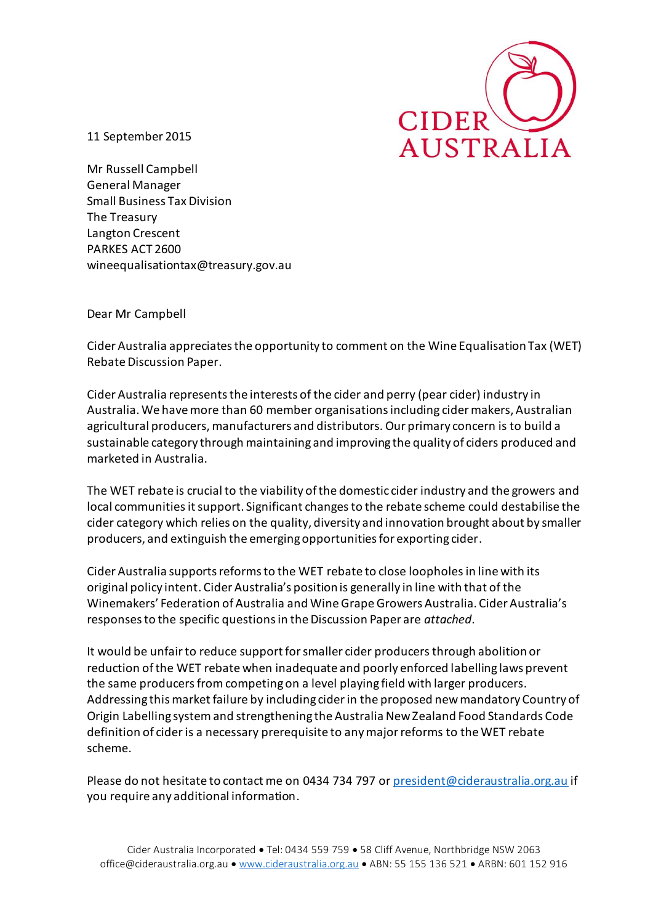

11 September 2015

Mr Russell Campbell General Manager Small Business Tax Division The Treasury Langton Crescent PARKES ACT 2600 wineequalisationtax@treasury.gov.au

Dear Mr Campbell

Cider Australia appreciates the opportunity to comment on the Wine Equalisation Tax (WET) Rebate Discussion Paper.

Cider Australia represents the interests of the cider and perry (pear cider) industry in Australia. We have more than 60 member organisations including cider makers, Australian agricultural producers, manufacturers and distributors. Our primary concern is to build a sustainable category through maintaining and improving the quality of ciders produced and marketed in Australia.

The WET rebate is crucial to the viability of the domestic cider industry and the growers and local communitiesit support. Significant changes to the rebate scheme could destabilise the cider category which relies on the quality, diversity and innovation brought about by smaller producers, and extinguish the emerging opportunities for exporting cider.

Cider Australia supports reforms to the WET rebate to close loopholesin line with its original policy intent. Cider Australia's position is generally in line with that of the Winemakers' Federation of Australia and Wine Grape Growers Australia. Cider Australia's responses to the specific questions in the Discussion Paper are *attached*.

It would be unfair to reduce support for smaller cider producers through abolition or reduction of the WET rebate when inadequate and poorly enforced labelling laws prevent the same producers from competing on a level playing field with larger producers. Addressing thismarket failure by including cider in the proposed new mandatory Country of Origin Labelling system and strengthening the Australia New Zealand Food Standards Code definition of cider is a necessary prerequisite to any major reforms to the WET rebate scheme.

Please do not hesitate to contact me on 0434 734 797 o[r president@cideraustralia.org.au](mailto:president@cideraustralia.org.au) if you require any additional information.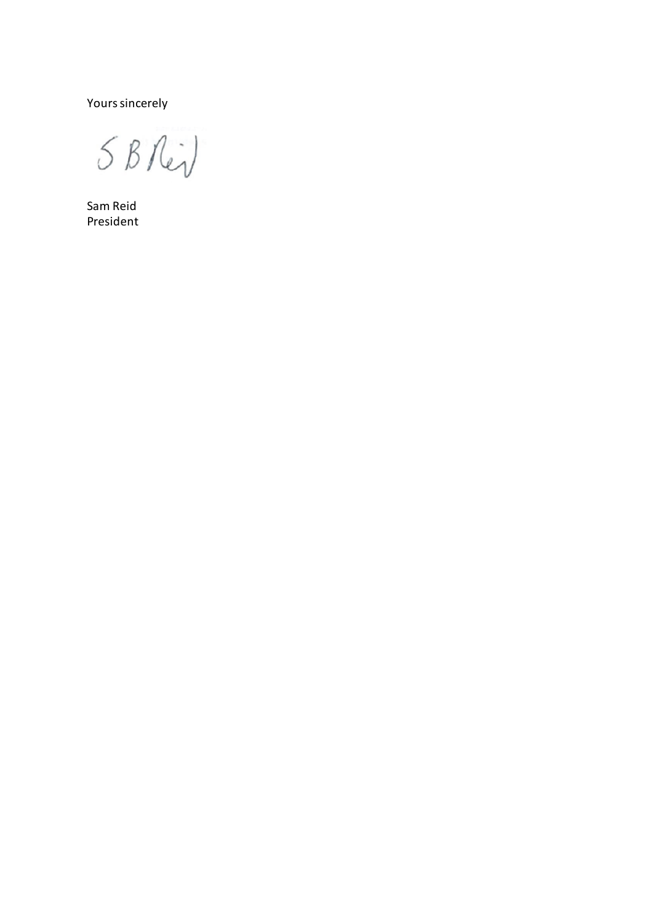Yours sincerely

5 B Rid

Sam Reid President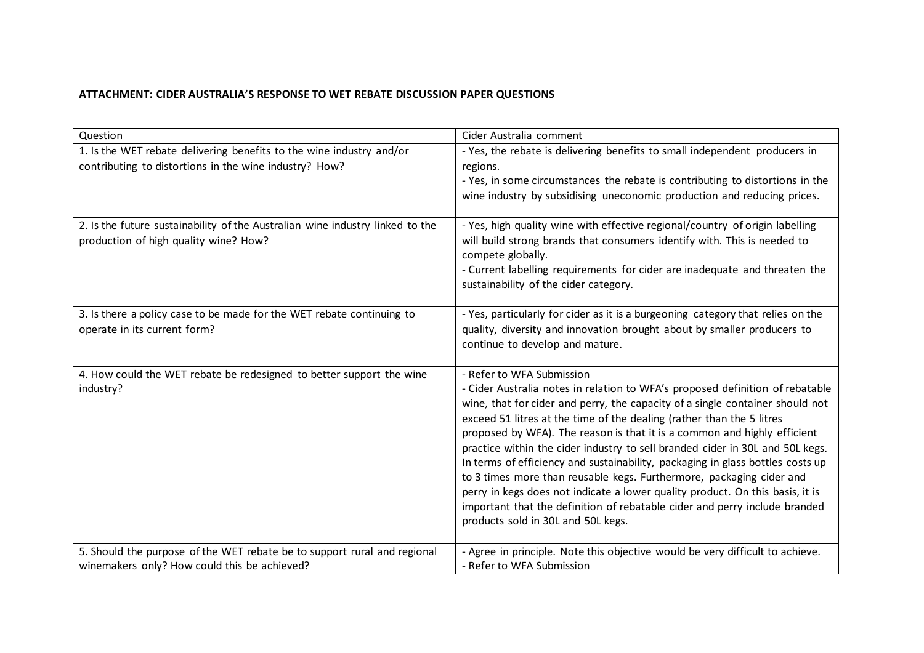## **ATTACHMENT: CIDER AUSTRALIA'S RESPONSE TO WET REBATE DISCUSSION PAPER QUESTIONS**

| Question                                                                                                                       | Cider Australia comment                                                                                                                                                                                                                                                                                                                                                                                                                                                                                                                                                                                                                                                                                                                                                                          |
|--------------------------------------------------------------------------------------------------------------------------------|--------------------------------------------------------------------------------------------------------------------------------------------------------------------------------------------------------------------------------------------------------------------------------------------------------------------------------------------------------------------------------------------------------------------------------------------------------------------------------------------------------------------------------------------------------------------------------------------------------------------------------------------------------------------------------------------------------------------------------------------------------------------------------------------------|
| 1. Is the WET rebate delivering benefits to the wine industry and/or<br>contributing to distortions in the wine industry? How? | - Yes, the rebate is delivering benefits to small independent producers in<br>regions.                                                                                                                                                                                                                                                                                                                                                                                                                                                                                                                                                                                                                                                                                                           |
|                                                                                                                                | - Yes, in some circumstances the rebate is contributing to distortions in the<br>wine industry by subsidising uneconomic production and reducing prices.                                                                                                                                                                                                                                                                                                                                                                                                                                                                                                                                                                                                                                         |
| 2. Is the future sustainability of the Australian wine industry linked to the<br>production of high quality wine? How?         | - Yes, high quality wine with effective regional/country of origin labelling<br>will build strong brands that consumers identify with. This is needed to<br>compete globally.<br>- Current labelling requirements for cider are inadequate and threaten the<br>sustainability of the cider category.                                                                                                                                                                                                                                                                                                                                                                                                                                                                                             |
| 3. Is there a policy case to be made for the WET rebate continuing to<br>operate in its current form?                          | - Yes, particularly for cider as it is a burgeoning category that relies on the<br>quality, diversity and innovation brought about by smaller producers to<br>continue to develop and mature.                                                                                                                                                                                                                                                                                                                                                                                                                                                                                                                                                                                                    |
| 4. How could the WET rebate be redesigned to better support the wine<br>industry?                                              | - Refer to WFA Submission<br>- Cider Australia notes in relation to WFA's proposed definition of rebatable<br>wine, that for cider and perry, the capacity of a single container should not<br>exceed 51 litres at the time of the dealing (rather than the 5 litres<br>proposed by WFA). The reason is that it is a common and highly efficient<br>practice within the cider industry to sell branded cider in 30L and 50L kegs.<br>In terms of efficiency and sustainability, packaging in glass bottles costs up<br>to 3 times more than reusable kegs. Furthermore, packaging cider and<br>perry in kegs does not indicate a lower quality product. On this basis, it is<br>important that the definition of rebatable cider and perry include branded<br>products sold in 30L and 50L kegs. |
| 5. Should the purpose of the WET rebate be to support rural and regional<br>winemakers only? How could this be achieved?       | - Agree in principle. Note this objective would be very difficult to achieve.<br>- Refer to WFA Submission                                                                                                                                                                                                                                                                                                                                                                                                                                                                                                                                                                                                                                                                                       |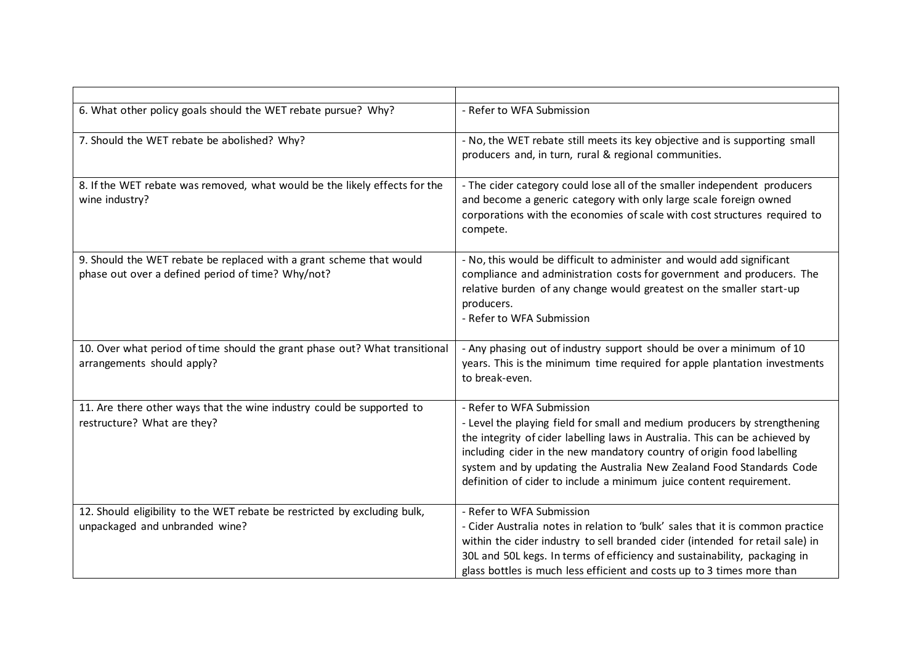| 6. What other policy goals should the WET rebate pursue? Why?                                                            | - Refer to WFA Submission                                                                                                                                                                                                                                                                                                                                                                                     |
|--------------------------------------------------------------------------------------------------------------------------|---------------------------------------------------------------------------------------------------------------------------------------------------------------------------------------------------------------------------------------------------------------------------------------------------------------------------------------------------------------------------------------------------------------|
| 7. Should the WET rebate be abolished? Why?                                                                              | - No, the WET rebate still meets its key objective and is supporting small<br>producers and, in turn, rural & regional communities.                                                                                                                                                                                                                                                                           |
| 8. If the WET rebate was removed, what would be the likely effects for the<br>wine industry?                             | - The cider category could lose all of the smaller independent producers<br>and become a generic category with only large scale foreign owned<br>corporations with the economies of scale with cost structures required to<br>compete.                                                                                                                                                                        |
| 9. Should the WET rebate be replaced with a grant scheme that would<br>phase out over a defined period of time? Why/not? | - No, this would be difficult to administer and would add significant<br>compliance and administration costs for government and producers. The<br>relative burden of any change would greatest on the smaller start-up<br>producers.<br>- Refer to WFA Submission                                                                                                                                             |
| 10. Over what period of time should the grant phase out? What transitional<br>arrangements should apply?                 | - Any phasing out of industry support should be over a minimum of 10<br>years. This is the minimum time required for apple plantation investments<br>to break-even.                                                                                                                                                                                                                                           |
| 11. Are there other ways that the wine industry could be supported to<br>restructure? What are they?                     | - Refer to WFA Submission<br>- Level the playing field for small and medium producers by strengthening<br>the integrity of cider labelling laws in Australia. This can be achieved by<br>including cider in the new mandatory country of origin food labelling<br>system and by updating the Australia New Zealand Food Standards Code<br>definition of cider to include a minimum juice content requirement. |
| 12. Should eligibility to the WET rebate be restricted by excluding bulk,<br>unpackaged and unbranded wine?              | - Refer to WFA Submission<br>- Cider Australia notes in relation to 'bulk' sales that it is common practice<br>within the cider industry to sell branded cider (intended for retail sale) in<br>30L and 50L kegs. In terms of efficiency and sustainability, packaging in<br>glass bottles is much less efficient and costs up to 3 times more than                                                           |